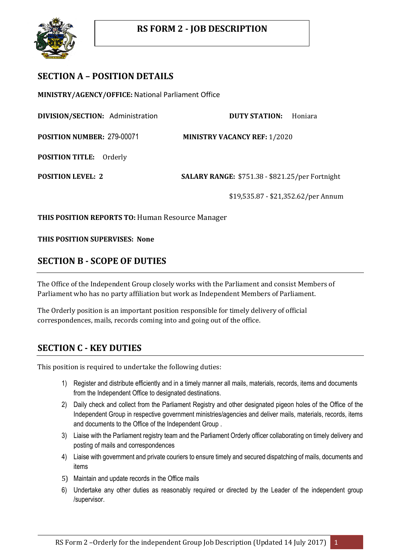

## **SECTION A – POSITION DETAILS**

**MINISTRY/AGENCY/OFFICE:** National Parliament Office

**DIVISION/SECTION:** Administration **DUTY STATION:** Honiara

**POSITION NUMBER:** 279-00071 **MINISTRY VACANCY REF:** 1/2020

**POSITION TITLE:** Orderly

**POSITION LEVEL: 2 SALARY RANGE:** \$751.38 - \$821.25/per Fortnight

\$19,535.87 - \$21,352.62/per Annum

**THIS POSITION REPORTS TO:** Human Resource Manager

**THIS POSITION SUPERVISES: None**

#### **SECTION B - SCOPE OF DUTIES**

The Office of the Independent Group closely works with the Parliament and consist Members of Parliament who has no party affiliation but work as Independent Members of Parliament.

The Orderly position is an important position responsible for timely delivery of official correspondences, mails, records coming into and going out of the office.

## **SECTION C - KEY DUTIES**

This position is required to undertake the following duties:

- 1) Register and distribute efficiently and in a timely manner all mails, materials, records, items and documents from the Independent Office to designated destinations.
- 2) Daily check and collect from the Parliament Registry and other designated pigeon holes of the Office of the Independent Group in respective government ministries/agencies and deliver mails, materials, records, items and documents to the Office of the Independent Group .
- 3) Liaise with the Parliament registry team and the Parliament Orderly officer collaborating on timely delivery and posting of mails and correspondences
- 4) Liaise with government and private couriers to ensure timely and secured dispatching of mails, documents and items
- 5) Maintain and update records in the Office mails
- 6) Undertake any other duties as reasonably required or directed by the Leader of the independent group /supervisor.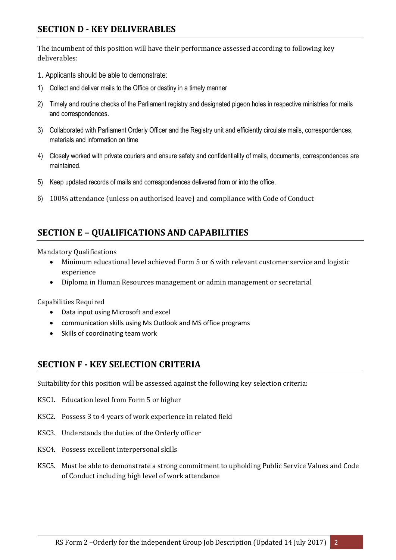## **SECTION D - KEY DELIVERABLES**

The incumbent of this position will have their performance assessed according to following key deliverables:

- 1. Applicants should be able to demonstrate:
- 1) Collect and deliver mails to the Office or destiny in a timely manner
- 2) Timely and routine checks of the Parliament registry and designated pigeon holes in respective ministries for mails and correspondences.
- 3) Collaborated with Parliament Orderly Officer and the Registry unit and efficiently circulate mails, correspondences, materials and information on time
- 4) Closely worked with private couriers and ensure safety and confidentiality of mails, documents, correspondences are maintained.
- 5) Keep updated records of mails and correspondences delivered from or into the office.
- 6) 100% attendance (unless on authorised leave) and compliance with Code of Conduct

# **SECTION E – QUALIFICATIONS AND CAPABILITIES**

#### Mandatory Qualifications

- Minimum educational level achieved Form 5 or 6 with relevant customer service and logistic experience
- Diploma in Human Resources management or admin management or secretarial

Capabilities Required

- Data input using Microsoft and excel
- communication skills using Ms Outlook and MS office programs
- Skills of coordinating team work

#### **SECTION F - KEY SELECTION CRITERIA**

Suitability for this position will be assessed against the following key selection criteria:

- KSC1. Education level from Form 5 or higher
- KSC2. Possess 3 to 4 years of work experience in related field
- KSC3. Understands the duties of the Orderly officer
- KSC4. Possess excellent interpersonal skills
- KSC5. Must be able to demonstrate a strong commitment to upholding Public Service Values and Code of Conduct including high level of work attendance